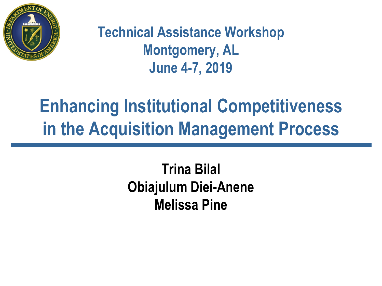

#### **Technical Assistance Workshop Montgomery, AL June 4-7, 2019**

#### **Enhancing Institutional Competitiveness in the Acquisition Management Process**

#### **Trina Bilal Obiajulum Diei-Anene Melissa Pine**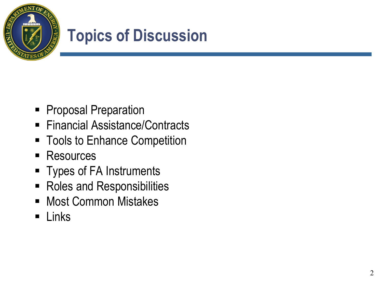

#### **Topics of Discussion**

- **Proposal Preparation**
- Financial Assistance/Contracts
- Tools to Enhance Competition
- Resources
- **Types of FA Instruments**
- Roles and Responsibilities
- Most Common Mistakes
- **E** Links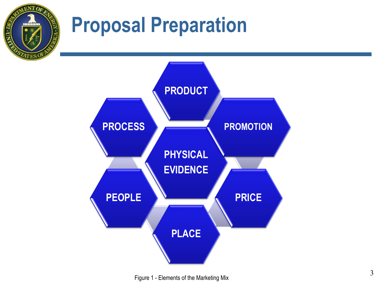

### **Proposal Preparation**

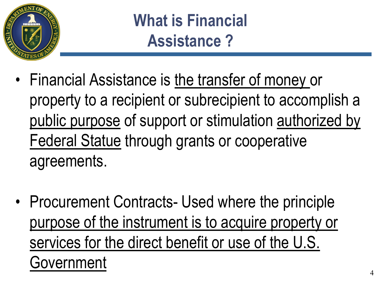

**What is Financial Assistance ?**

- Financial Assistance is the transfer of money or property to a recipient or subrecipient to accomplish a public purpose of support or stimulation authorized by Federal Statue through grants or cooperative agreements.
- Procurement Contracts- Used where the principle purpose of the instrument is to acquire property or services for the direct benefit or use of the U.S. Government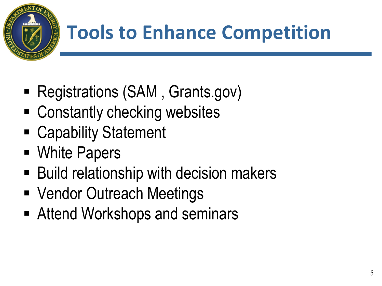

### **Tools to Enhance Competition**

- Registrations (SAM, Grants.gov)
- Constantly checking websites
- Capability Statement
- White Papers
- Build relationship with decision makers
- Vendor Outreach Meetings
- Attend Workshops and seminars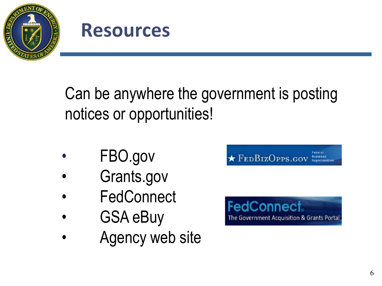



Can be anywhere the government is posting notices or opportunities!

- FBO.gov
- Grants.gov
- **FedConnect**
- GSA eBuy
- Agency web site

 $\star$  FEDBIZOPPS.GOV

**FedConnect** The Government Acquisition & Grants Portal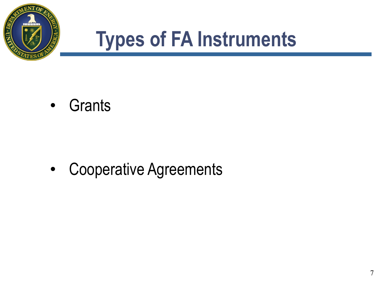

#### **Types of FA Instruments**

• Grants

• Cooperative Agreements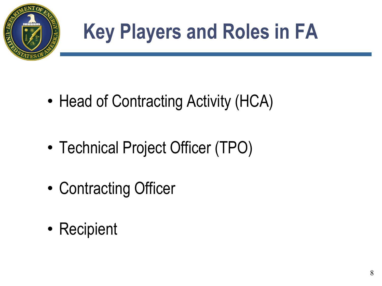

# **Key Players and Roles in FA**

- Head of Contracting Activity (HCA)
- Technical Project Officer (TPO)
- Contracting Officer
- Recipient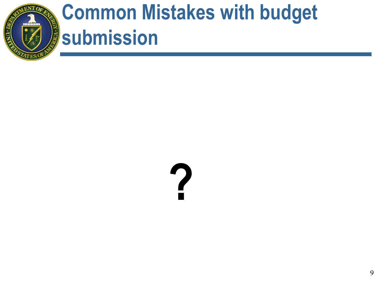

### **Common Mistakes with budget submission**

# **?**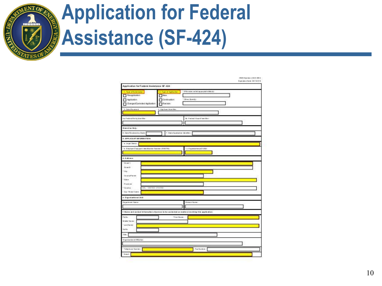

## **Application for Federal Assistance (SF-424)**

|                                                                                             |                   |                                                                   |                                                                                                    | Eagle allow Dalley, 83,12.216 |
|---------------------------------------------------------------------------------------------|-------------------|-------------------------------------------------------------------|----------------------------------------------------------------------------------------------------|-------------------------------|
| Application for Federal Assistance SF-424                                                   |                   |                                                                   |                                                                                                    |                               |
| 1. To per of the lost tooler :<br>Peoplication<br>Aplication<br>Changed/Comeded Application |                   | 3. Type of Application<br>New .<br>Continuation<br><b>Film in</b> | " If Fix viscos, se levé ap pro prial e lette (tri-<br>$7.08 + 10 + 46 +$                          |                               |
| 3. Date Reserve &                                                                           |                   | 4. App loan Lider Mar :                                           |                                                                                                    |                               |
| It at P red on at E will by hit we filter :                                                 |                   |                                                                   | lik - Paralama I Ausur of Loire Mile c.                                                            |                               |
|                                                                                             |                   |                                                                   |                                                                                                    |                               |
| State Use Delp:<br>8 . Dat a For salve 4 by Starte                                          |                   |                                                                   | 7. Shall a characterized both bide estimate                                                        |                               |
| <b>I. APPLICA HT BIFORM ATION</b>                                                           |                   |                                                                   |                                                                                                    |                               |
| ' a Legal Navier                                                                            |                   |                                                                   |                                                                                                    |                               |
| ' is. Even been if any apply I don if but her Nues have [ BIRSTIN]                          |                   |                                                                   | s. D special line at D LSD.                                                                        |                               |
|                                                                                             |                   |                                                                   |                                                                                                    |                               |
| d. A director                                                                               |                   |                                                                   |                                                                                                    |                               |
| 'The end 'T.                                                                                |                   |                                                                   |                                                                                                    |                               |
|                                                                                             |                   |                                                                   |                                                                                                    |                               |
|                                                                                             |                   |                                                                   |                                                                                                    |                               |
| <b>Element City</b><br>"Die                                                                 |                   |                                                                   |                                                                                                    |                               |
|                                                                                             |                   |                                                                   |                                                                                                    |                               |
| Ca as in Parish.<br><b>Kister</b>                                                           |                   |                                                                   |                                                                                                    |                               |
|                                                                                             |                   |                                                                   |                                                                                                    |                               |
| Practices:                                                                                  |                   |                                                                   |                                                                                                    |                               |
| Crate.                                                                                      | IN: USETED STATES |                                                                   |                                                                                                    |                               |
| Zip L Ph Ma LCodes                                                                          |                   |                                                                   |                                                                                                    |                               |
| in . Origin related for mail Librati.                                                       |                   |                                                                   |                                                                                                    |                               |
| De parternet Nature                                                                         |                   |                                                                   | Division in Names                                                                                  |                               |
|                                                                                             |                   |                                                                   |                                                                                                    |                               |
|                                                                                             |                   |                                                                   |                                                                                                    |                               |
|                                                                                             |                   |                                                                   | F. Ha me and contact televisation of percent to be contacted on matters (modify) this application. |                               |
|                                                                                             |                   |                                                                   | "Finible on :                                                                                      |                               |
|                                                                                             |                   |                                                                   |                                                                                                    |                               |
| "La si Na me"                                                                               |                   |                                                                   |                                                                                                    |                               |
| <b>Zal for</b>                                                                              |                   |                                                                   |                                                                                                    |                               |
|                                                                                             |                   |                                                                   |                                                                                                    |                               |
| For line<br>Middle Name<br>Title.                                                           |                   |                                                                   |                                                                                                    |                               |
| Thrips who a box of Affilia them.                                                           |                   |                                                                   |                                                                                                    |                               |
| Take in an Non Int .                                                                        |                   |                                                                   | Factor et any                                                                                      |                               |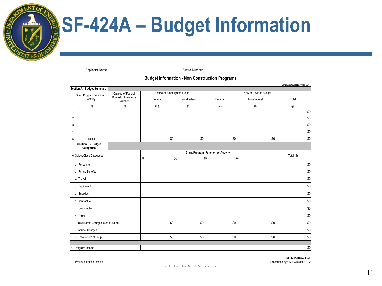

Applicant Name: Applicant Number:

#### **Budget Information - Non Construction Programs**

| Section A - Budget Summary             |                                                     |                                    |             |                                            |             | OMB Approval No. 0348-0044 |  |
|----------------------------------------|-----------------------------------------------------|------------------------------------|-------------|--------------------------------------------|-------------|----------------------------|--|
| Grant Program Function or<br>Activity  | Catalog of Federal<br>Domestic Assistance<br>Number | <b>Estimated Unobligated Funds</b> |             | New or Revised Budget                      |             |                            |  |
|                                        |                                                     | Federal                            | Non-Federal | Federal                                    | Non-Federal | Total                      |  |
| (a)                                    | (b)                                                 | (c)                                | (d)         | (e)                                        | (f)         | (g)                        |  |
| 1.                                     |                                                     |                                    |             |                                            |             | \$0                        |  |
| 2.                                     |                                                     |                                    |             |                                            |             | \$0                        |  |
| 3.                                     |                                                     |                                    |             |                                            |             | \$0                        |  |
| 4.                                     |                                                     |                                    |             |                                            |             | \$0                        |  |
| Totals<br>5.                           |                                                     | \$0                                | \$0         | \$0                                        | \$0         | \$0                        |  |
| Section B - Budget<br>Categories       |                                                     |                                    |             |                                            |             |                            |  |
| 6. Object Class Categories             |                                                     |                                    |             | <b>Grant Program, Function or Activity</b> | Total (5)   |                            |  |
|                                        |                                                     | (1)                                | (2)         | (3)                                        | (4)         |                            |  |
| a. Personnel                           |                                                     |                                    |             |                                            |             | \$0                        |  |
| b. Fringe Benefits                     |                                                     |                                    |             |                                            |             | \$0                        |  |
| c. Travel                              |                                                     |                                    |             |                                            |             | \$0                        |  |
| d. Equipment                           |                                                     |                                    |             |                                            |             | \$0                        |  |
| e. Supplies                            |                                                     |                                    |             |                                            |             | \$0                        |  |
| f. Contractual                         |                                                     |                                    |             |                                            |             | \$0                        |  |
| g. Construction                        |                                                     |                                    |             |                                            |             | \$0                        |  |
| h. Other                               |                                                     |                                    |             |                                            |             | \$0                        |  |
| i. Total Direct Charges (sum of 6a-6h) |                                                     | \$0                                | \$0         | \$0                                        | \$0         | \$0                        |  |
| j. Indirect Charges                    |                                                     |                                    |             |                                            |             | \$0                        |  |
| k. Totals (sum of 6i-6j)               |                                                     | \$0                                | \$0         | \$0                                        | \$0         | \$0                        |  |
|                                        |                                                     |                                    |             |                                            |             |                            |  |
| 7. Program Income                      |                                                     |                                    |             |                                            |             | \$0                        |  |

**SF-424A (Rev. 4-92)**  Previous Edition Usable **Prescribed by OMB Circular A-102** Prescribed by OMB Circular A-102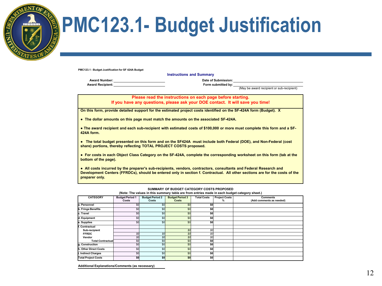

#### **PMC123.1- Budget Justification**

**PMC123.1 - Budget Justification for SF 424A Budget**

**Instructions and Summary**

**Award Number: Date of Submission: Award Recipient: Form submitted by:** 

(May be award recipient or sub-recipient)

**Please read the instructions on each page before starting. If you have any questions, please ask your DOE contact. It will save you time!** 

**On this form, provide detailed support for the estimated project costs identified on the SF-424A form (Budget). X**

**● The dollar amounts on this page must match the amounts on the associated SF-424A.**

**● The award recipient and each sub-recipient with estimated costs of \$100,000 or more must complete this form and a SF-424A form.**

**● The total budget presented on this form and on the SF424A must include both Federal (DOE), and Non-Federal (cost share) portions, thereby reflecting TOTAL PROJECT COSTS proposed.**

**● For costs in each Object Class Category on the SF-424A, complete the corresponding worksheet on this form (tab at the bottom of the page).** 

**● All costs incurred by the preparer's sub-recipients, vendors, contractors, consultants and Federal Research and Development Centers (FFRDCs), should be entered only in section f. Contractual. All other sections are for the costs of the preparer only.**

#### **SUMMARY OF BUDGET CATEGORY COSTS PROPOSED**

**(Note: The values in this summary table are from entries made in each budget category sheet.)**

| <b>CATEGORY</b>              | <b>Budget Period 1</b> | <b>Budget Period 2</b> | <b>Budget Period 3</b> | <b>Total Costs</b> | <b>Project Costs</b> | <b>Comments</b>          |
|------------------------------|------------------------|------------------------|------------------------|--------------------|----------------------|--------------------------|
|                              | Costs                  | Costs                  | Costs                  |                    | %                    | (Add comments as needed) |
| la. Personnel                | \$0                    | \$0                    | \$0                    | \$0                |                      |                          |
| b. Fringe Benefits           | \$0                    | \$0                    | \$0                    | \$0                |                      |                          |
| c. Travel                    | \$0                    | \$0                    | \$0                    | \$O                |                      |                          |
| d. Equipment                 | \$0                    | \$0                    | \$0                    | \$0                |                      |                          |
| e. Supplies                  | \$0                    | \$0                    | \$0                    | \$O                |                      |                          |
| f. Contractual               |                        |                        |                        |                    |                      |                          |
| Sub-recipient                |                        |                        | \$O                    | \$0                |                      |                          |
| <b>FFRDC</b>                 | SO                     | \$0                    | \$O                    | \$0                |                      |                          |
| Vendor                       | \$O                    | \$0                    | \$0                    | SO                 |                      |                          |
| <b>Total Contractual</b>     | \$0                    | \$0                    | \$0                    | \$0                |                      |                          |
| g. Construction              | \$0                    | \$0                    | \$0                    | \$0                |                      |                          |
| <b>h. Other Direct Costs</b> | \$0                    | \$0                    | \$0                    | \$O                |                      |                          |
| . Indirect Charges           | \$0                    | \$0                    | \$0                    | \$0                |                      |                          |
| <b>Total Project Costs</b>   | \$O                    | \$0                    | \$0                    | \$O                |                      |                          |

**Additional Explanations/Comments (as necessary)**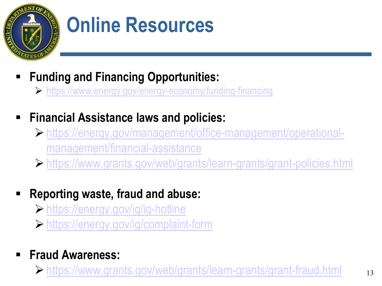

### **Online Resources**

- **Funding and Financing Opportunities:** 
	- <https://www.energy.gov/energy-economy/funding-financing>
- **Financial Assistance laws and policies:** 
	- [https://energy.gov/management/office-management/operational](https://energy.gov/management/office-management/operational-management/financial-assistance)management/financial-assistance
	- <https://www.grants.gov/web/grants/learn-grants/grant-policies.html>
- **Reporting waste, fraud and abuse:**
	- <https://energy.gov/ig/ig-hotline>
	- <https://energy.gov/ig/complaint-form>
- **Fraud Awareness:**

<https://www.grants.gov/web/grants/learn-grants/grant-fraud.html> <sup>13</sup>